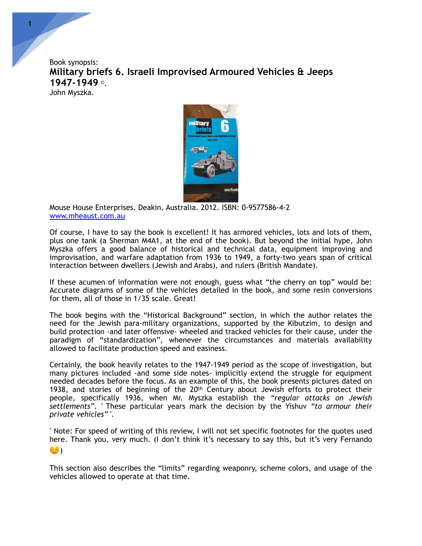Book synopsis: **Military briefs 6. Israeli Improvised Armoured Vehicles & Jeeps 1947-1949** ©. John Myszka.



Mouse House Enterprises. Deakin, Australia. 2012. ISBN: 0-9577586-4-2 [www.mheaust.com.au](http://www.mheaust.com.au)

Of course, I have to say the book is excellent! It has armored vehicles, lots and lots of them, plus one tank (a Sherman M4A1, at the end of the book). But beyond the initial hype, John Myszka offers a good balance of historical and technical data, equipment improving and improvisation, and warfare adaptation from 1936 to 1949, a forty-two years span of critical interaction between dwellers (Jewish and Arabs), and rulers (British Mandate).

If these acumen of information were not enough, guess what "the cherry on top" would be: Accurate diagrams of some of the vehicles detailed in the book, and some resin conversions for them, all of those in 1/35 scale. Great!

The book begins with the "Historical Background" section, in which the author relates the need for the Jewish para-military organizations, supported by the Kibutzim, to design and build protection -and later offensive- wheeled and tracked vehicles for their cause, under the paradigm of "standardization", whenever the circumstances and materials availability allowed to facilitate production speed and easiness.

Certainly, the book heavily relates to the 1947-1949 period as the scope of investigation, but many pictures included -and some side notes- implicitly extend the struggle for equipment needed decades before the focus. As an example of this, the book presents pictures dated on 1938, and stories of beginning of the 20<sup>th</sup> Century about Jewish efforts to protect their people, specifically 1936, when Mr. Myszka establish the *"regular attacks on Jewish settlements".* \* These particular years mark the decision by the Yishuv *"to armour their private vehicles" \**.

\* Note: For speed of writing of this review, I will not set specific footnotes for the quotes used here. Thank you, very much. (I don't think it's necessary to say this, but it's very Fernando  $\left( \widehat{c} \right)$ 

This section also describes the "limits" regarding weaponry, scheme colors, and usage of the vehicles allowed to operate at that time.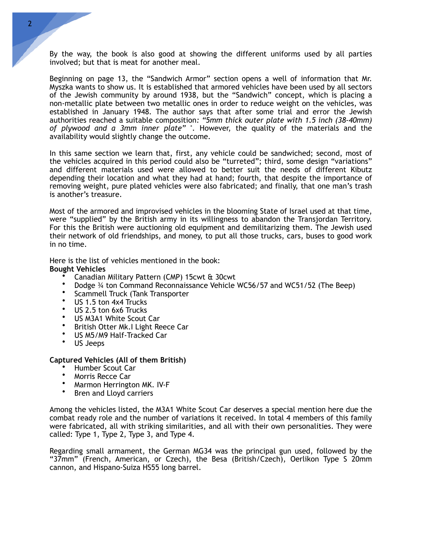By the way, the book is also good at showing the different uniforms used by all parties involved; but that is meat for another meal.

Beginning on page 13, the "Sandwich Armor" section opens a well of information that Mr. Myszka wants to show us. It is established that armored vehicles have been used by all sectors of the Jewish community by around 1938, but the "Sandwich" concept, which is placing a non-metallic plate between two metallic ones in order to reduce weight on the vehicles, was established in January 1948. The author says that after some trial and error the Jewish authorities reached a suitable composition*: "5mm thick outer plate with 1.5 inch (38-40mm) of plywood and a 3mm inner plate"* \*. However, the quality of the materials and the availability would slightly change the outcome.

In this same section we learn that, first, any vehicle could be sandwiched; second, most of the vehicles acquired in this period could also be "turreted"; third, some design "variations" and different materials used were allowed to better suit the needs of different Kibutz depending their location and what they had at hand; fourth, that despite the importance of removing weight, pure plated vehicles were also fabricated; and finally, that one man's trash is another's treasure.

Most of the armored and improvised vehicles in the blooming State of Israel used at that time, were "supplied" by the British army in its willingness to abandon the Transjordan Territory. For this the British were auctioning old equipment and demilitarizing them. The Jewish used their network of old friendships, and money, to put all those trucks, cars, buses to good work in no time.

Here is the list of vehicles mentioned in the book:

#### **Bought Vehicles**

- Canadian Military Pattern (CMP) 15cwt & 30cwt
- Dodge ¾ ton Command Reconnaissance Vehicle WC56/57 and WC51/52 (The Beep)
- Scammell Truck (Tank Transporter
- US 1.5 ton 4x4 Trucks
- US 2.5 ton 6x6 Trucks
- US M3A1 White Scout Car
- British Otter Mk.I Light Reece Car
- US M5/M9 Half-Tracked Car
- US Jeeps

#### **Captured Vehicles (All of them British)**

- Humber Scout Car
- Morris Recce Car
- Marmon Herrington MK. IV-F
- Bren and Lloyd carriers

Among the vehicles listed, the M3A1 White Scout Car deserves a special mention here due the combat ready role and the number of variations it received. In total 4 members of this family were fabricated, all with striking similarities, and all with their own personalities. They were called: Type 1, Type 2, Type 3, and Type 4.

Regarding small armament, the German MG34 was the principal gun used, followed by the "37mm" (French, American, or Czech), the Besa (British/Czech), Oerlikon Type S 20mm cannon, and Hispano-Suiza HS55 long barrel.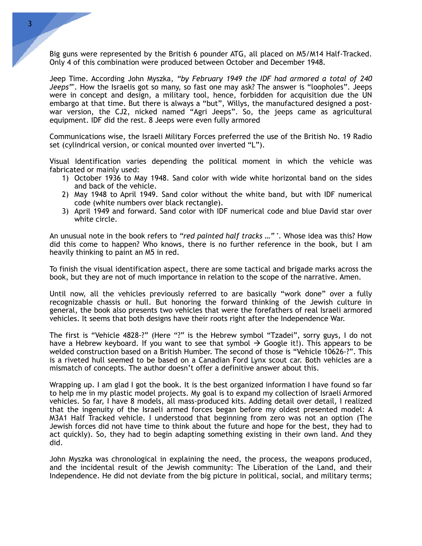Big guns were represented by the British 6 pounder ATG, all placed on M5/M14 Half-Tracked. Only 4 of this combination were produced between October and December 1948.

Jeep Time. According John Myszka, *"by February 1949 the IDF had armored a total of 240 Jeeps"*\*. How the Israelis got so many, so fast one may ask? The answer is "loopholes". Jeeps were in concept and design, a military tool, hence, forbidden for acquisition due the UN embargo at that time. But there is always a "but", Willys, the manufactured designed a postwar version, the CJ2, nicked named "Agri Jeeps". So, the jeeps came as agricultural equipment. IDF did the rest. 8 Jeeps were even fully armored

Communications wise, the Israeli Military Forces preferred the use of the British No. 19 Radio set (cylindrical version, or conical mounted over inverted "L").

Visual Identification varies depending the political moment in which the vehicle was fabricated or mainly used:

- 1) October 1936 to May 1948. Sand color with wide white horizontal band on the sides and back of the vehicle.
- 2) May 1948 to April 1949. Sand color without the white band, but with IDF numerical code (white numbers over black rectangle).
- 3) April 1949 and forward. Sand color with IDF numerical code and blue David star over white circle.

An unusual note in the book refers to *"red painted half tracks …"* \*. Whose idea was this? How did this come to happen? Who knows, there is no further reference in the book, but I am heavily thinking to paint an M5 in red.

To finish the visual identification aspect, there are some tactical and brigade marks across the book, but they are not of much importance in relation to the scope of the narrative. Amen.

Until now, all the vehicles previously referred to are basically "work done" over a fully recognizable chassis or hull. But honoring the forward thinking of the Jewish culture in general, the book also presents two vehicles that were the forefathers of real Israeli armored vehicles. It seems that both designs have their roots right after the Independence War.

The first is "Vehicle 4828-?" (Here "?" is the Hebrew symbol "Tzadei", sorry guys, I do not have a Hebrew keyboard. If you want to see that symbol  $\rightarrow$  Google it!). This appears to be welded construction based on a British Humber. The second of those is "Vehicle 10626-?". This is a riveted hull seemed to be based on a Canadian Ford Lynx scout car. Both vehicles are a mismatch of concepts. The author doesn't offer a definitive answer about this.

Wrapping up. I am glad I got the book. It is the best organized information I have found so far to help me in my plastic model projects. My goal is to expand my collection of Israeli Armored vehicles. So far, I have 8 models, all mass-produced kits. Adding detail over detail, I realized that the ingenuity of the Israeli armed forces began before my oldest presented model: A M3A1 Half Tracked vehicle. I understood that beginning from zero was not an option (The Jewish forces did not have time to think about the future and hope for the best, they had to act quickly). So, they had to begin adapting something existing in their own land. And they did.

John Myszka was chronological in explaining the need, the process, the weapons produced, and the incidental result of the Jewish community: The Liberation of the Land, and their Independence. He did not deviate from the big picture in political, social, and military terms;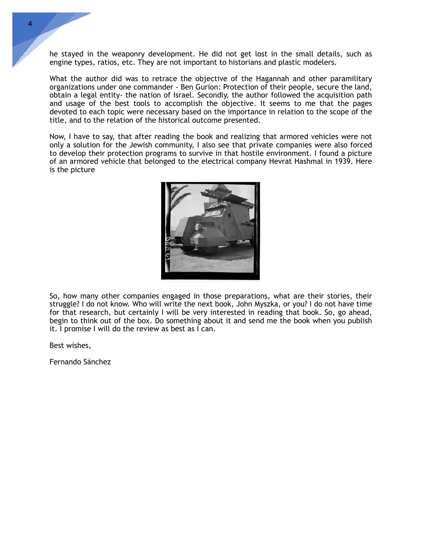he stayed in the weaponry development. He did not get lost in the small details, such as engine types, ratios, etc. They are not important to historians and plastic modelers.

What the author did was to retrace the objective of the Hagannah and other paramilitary organizations under one commander - Ben Gurion: Protection of their people, secure the land, obtain a legal entity- the nation of Israel. Secondly, the author followed the acquisition path and usage of the best tools to accomplish the objective. It seems to me that the pages devoted to each topic were necessary based on the importance in relation to the scope of the title, and to the relation of the historical outcome presented.

Now, I have to say, that after reading the book and realizing that armored vehicles were not only a solution for the Jewish community, I also see that private companies were also forced to develop their protection programs to survive in that hostile environment. I found a picture of an armored vehicle that belonged to the electrical company Hevrat Hashmal in 1939. Here is the picture



So, how many other companies engaged in those preparations, what are their stories, their struggle? I do not know. Who will write the next book, John Myszka, or you? I do not have time for that research, but certainly I will be very interested in reading that book. So, go ahead, begin to think out of the box. Do something about it and send me the book when you publish it. I promise I will do the review as best as I can.

Best wishes,

Fernando Sánchez